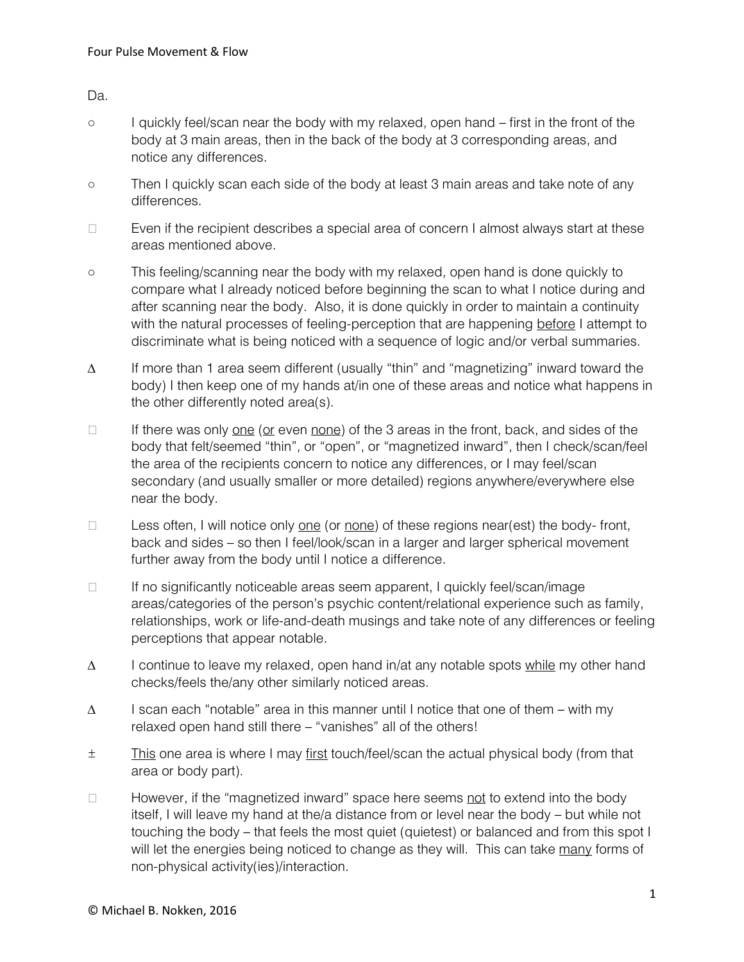Da.

- I quickly feel/scan near the body with my relaxed, open hand first in the front of the body at 3 main areas, then in the back of the body at 3 corresponding areas, and notice any differences.
- Then I quickly scan each side of the body at least 3 main areas and take note of any differences.
- $\Box$  Even if the recipient describes a special area of concern I almost always start at these areas mentioned above.
- This feeling/scanning near the body with my relaxed, open hand is done quickly to compare what I already noticed before beginning the scan to what I notice during and after scanning near the body. Also, it is done quickly in order to maintain a continuity with the natural processes of feeling-perception that are happening before I attempt to discriminate what is being noticed with a sequence of logic and/or verbal summaries.
- ∆ If more than 1 area seem different (usually "thin" and "magnetizing" inward toward the body) I then keep one of my hands at/in one of these areas and notice what happens in the other differently noted area(s).
- If there was only <u>one (or</u> even <u>none</u>) of the 3 areas in the front, back, and sides of the body that felt/seemed "thin", or "open", or "magnetized inward", then I check/scan/feel the area of the recipients concern to notice any differences, or I may feel/scan secondary (and usually smaller or more detailed) regions anywhere/everywhere else near the body.
- Less often, I will notice only <u>one</u> (or <u>none</u>) of these regions near(est) the body- front, back and sides – so then I feel/look/scan in a larger and larger spherical movement further away from the body until I notice a difference.
- $\Box$  If no significantly noticeable areas seem apparent, I quickly feel/scan/image areas/categories of the person's psychic content/relational experience such as family, relationships, work or life-and-death musings and take note of any differences or feeling perceptions that appear notable.
- ∆ I continue to leave my relaxed, open hand in/at any notable spots while my other hand checks/feels the/any other similarly noticed areas.
- ∆ I scan each "notable" area in this manner until I notice that one of them with my relaxed open hand still there – "vanishes" all of the others!
- ± This one area is where I may first touch/feel/scan the actual physical body (from that area or body part).
- $\Box$  However, if the "magnetized inward" space here seems not to extend into the body itself, I will leave my hand at the/a distance from or level near the body – but while not touching the body – that feels the most quiet (quietest) or balanced and from this spot I will let the energies being noticed to change as they will. This can take many forms of non-physical activity(ies)/interaction.